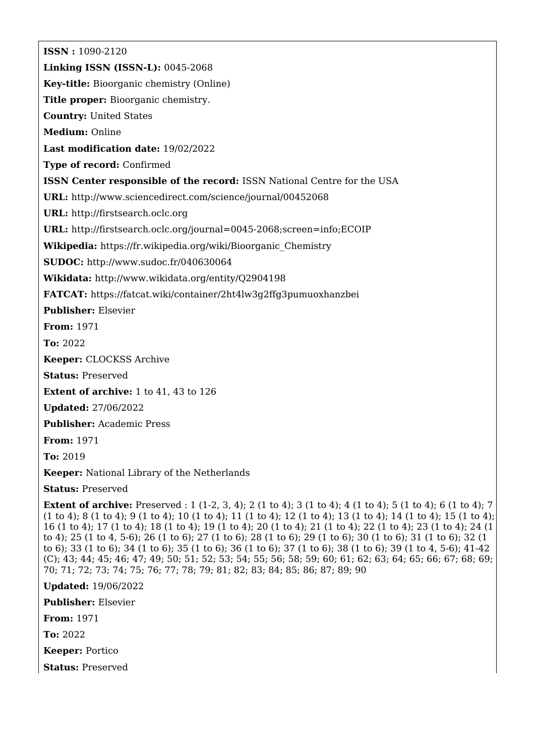**ISSN :** 1090-2120 **Linking ISSN (ISSN-L):** 0045-2068 **Key-title:** Bioorganic chemistry (Online) **Title proper:** Bioorganic chemistry. **Country:** United States **Medium:** Online **Last modification date:** 19/02/2022 **Type of record:** Confirmed **ISSN Center responsible of the record:** ISSN National Centre for the USA **URL:** <http://www.sciencedirect.com/science/journal/00452068> **URL:** <http://firstsearch.oclc.org> **URL:** <http://firstsearch.oclc.org/journal=0045-2068;screen=info;ECOIP> **Wikipedia:** [https://fr.wikipedia.org/wiki/Bioorganic\\_Chemistry](https://fr.wikipedia.org/wiki/Bioorganic_Chemistry) **SUDOC:** <http://www.sudoc.fr/040630064> **Wikidata:** <http://www.wikidata.org/entity/Q2904198> **FATCAT:** <https://fatcat.wiki/container/2ht4lw3g2ffg3pumuoxhanzbei> **Publisher:** Elsevier **From:** 1971 **To:** 2022 **Keeper:** CLOCKSS Archive **Status:** Preserved **Extent of archive:** 1 to 41, 43 to 126 **Updated:** 27/06/2022 **Publisher:** Academic Press **From:** 1971 **To:** 2019 **Keeper:** National Library of the Netherlands **Status:** Preserved **Extent of archive:** Preserved : 1 (1-2, 3, 4); 2 (1 to 4); 3 (1 to 4); 4 (1 to 4); 5 (1 to 4); 6 (1 to 4); 7 (1 to 4); 8 (1 to 4); 9 (1 to 4); 10 (1 to 4); 11 (1 to 4); 12 (1 to 4); 13 (1 to 4); 14 (1 to 4); 15 (1 to 4); 16 (1 to 4); 17 (1 to 4); 18 (1 to 4); 19 (1 to 4); 20 (1 to 4); 21 (1 to 4); 22 (1 to 4); 23 (1 to 4); 24 (1 to 4); 25 (1 to 4, 5-6); 26 (1 to 6); 27 (1 to 6); 28 (1 to 6); 29 (1 to 6); 30 (1 to 6); 31 (1 to 6); 32 (1 to 6); 33 (1 to 6); 34 (1 to 6); 35 (1 to 6); 36 (1 to 6); 37 (1 to 6); 38 (1 to 6); 39 (1 to 4, 5-6); 41-42 (C); 43; 44; 45; 46; 47; 49; 50; 51; 52; 53; 54; 55; 56; 58; 59; 60; 61; 62; 63; 64; 65; 66; 67; 68; 69;

70; 71; 72; 73; 74; 75; 76; 77; 78; 79; 81; 82; 83; 84; 85; 86; 87; 89; 90

**Updated:** 19/06/2022

**Publisher:** Elsevier

**From:** 1971

**To:** 2022

**Keeper:** Portico

**Status:** Preserved